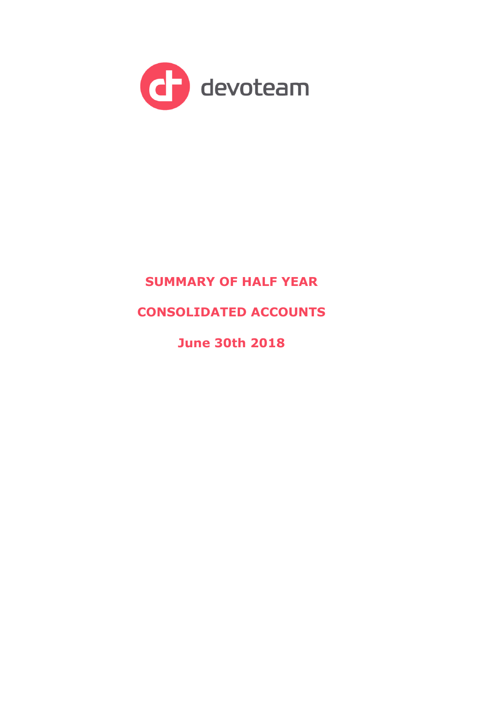

# **SUMMARY OF HALF YEAR**

## **CONSOLIDATED ACCOUNTS**

**June 30th 2018**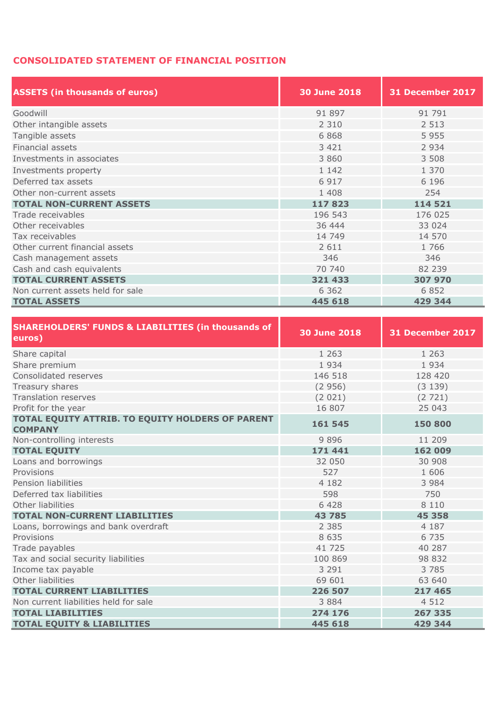### **CONSOLIDATED STATEMENT OF FINANCIAL POSITION**

| <b>ASSETS (in thousands of euros)</b> | <b>30 June 2018</b> | <b>31 December 2017</b> |  |  |
|---------------------------------------|---------------------|-------------------------|--|--|
| Goodwill                              | 91 897              | 91 791                  |  |  |
| Other intangible assets               | 2 3 1 0             | 2 5 1 3                 |  |  |
| Tangible assets                       | 6868                | 5 9 5 5                 |  |  |
| Financial assets                      | 3 4 2 1             | 2 9 3 4                 |  |  |
| Investments in associates             | 3 8 6 0             | 3 508                   |  |  |
| Investments property                  | 1 1 4 2             | 1 370                   |  |  |
| Deferred tax assets                   | 6 9 1 7             | 6 1 9 6                 |  |  |
| Other non-current assets              | 1 4 0 8             | 254                     |  |  |
| <b>TOTAL NON-CURRENT ASSETS</b>       | 117823              | 114 521                 |  |  |
| Trade receivables                     | 196 543             | 176 025                 |  |  |
| Other receivables                     | 36 444              | 33 0 24                 |  |  |
| Tax receivables                       | 14 749              | 14 570                  |  |  |
| Other current financial assets        | 2 6 1 1             | 1766                    |  |  |
| Cash management assets                | 346                 | 346                     |  |  |
| Cash and cash equivalents             | 70 740              | 82 239                  |  |  |
| <b>TOTAL CURRENT ASSETS</b>           | 321 433             | 307 970                 |  |  |
| Non current assets held for sale      | 6 3 6 2             | 6 8 5 2                 |  |  |
| <b>TOTAL ASSETS</b>                   | 445 618             | 429 344                 |  |  |

| <b>SHAREHOLDERS' FUNDS &amp; LIABILITIES (in thousands of</b><br>euros) | <b>30 June 2018</b> | 31 December 2017 |
|-------------------------------------------------------------------------|---------------------|------------------|
| Share capital                                                           | 1 2 6 3             | 1 2 6 3          |
| Share premium                                                           | 1 9 3 4             | 1934             |
| Consolidated reserves                                                   | 146 518             | 128 420          |
| Treasury shares                                                         | (2956)              | (3139)           |
| <b>Translation reserves</b>                                             | (2 021)             | (2721)           |
| Profit for the year                                                     | 16 807              | 25 043           |
| TOTAL EQUITY ATTRIB. TO EQUITY HOLDERS OF PARENT<br><b>COMPANY</b>      | 161 545             | 150 800          |
| Non-controlling interests                                               | 9896                | 11 209           |
| <b>TOTAL EQUITY</b>                                                     | 171 441             | 162 009          |
| Loans and borrowings                                                    | 32 050              | 30 908           |
| Provisions                                                              | 527                 | 1 606            |
| Pension liabilities                                                     | 4 182               | 3 9 8 4          |
| Deferred tax liabilities                                                | 598                 | 750              |
| Other liabilities                                                       | 6 4 2 8             | 8 1 1 0          |
| <b>TOTAL NON-CURRENT LIABILITIES</b>                                    | 43 785              | 45 358           |
| Loans, borrowings and bank overdraft                                    | 2 3 8 5             | 4 1 8 7          |
| Provisions                                                              | 8 6 3 5             | 6 7 3 5          |
| Trade payables                                                          | 41 725              | 40 287           |
| Tax and social security liabilities                                     | 100 869             | 98 832           |
| Income tax payable                                                      | 3 2 9 1             | 3785             |
| Other liabilities                                                       | 69 601              | 63 640           |
| <b>TOTAL CURRENT LIABILITIES</b>                                        | 226 507             | 217 465          |
| Non current liabilities held for sale                                   | 3 8 8 4             | 4 5 1 2          |
| <b>TOTAL LIABILITIES</b>                                                | 274 176             | 267 335          |
| <b>TOTAL EQUITY &amp; LIABILITIES</b>                                   | 445 618             | 429 344          |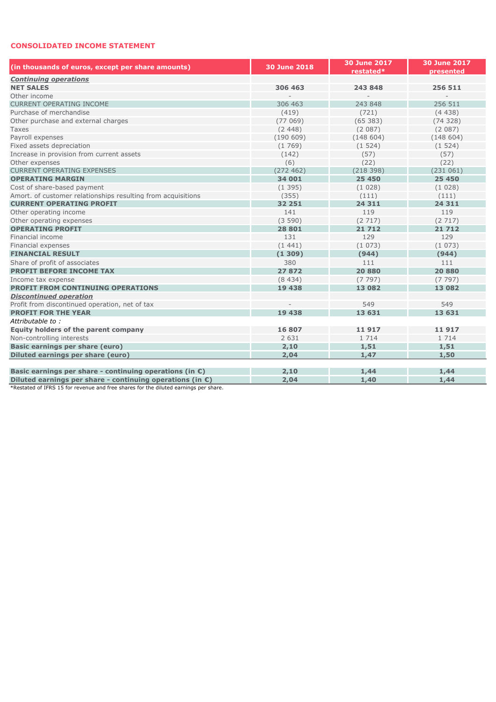#### **CONSOLIDATED INCOME STATEMENT**

| (in thousands of euros, except per share amounts)                   | 30 June 2018 | <b>30 June 2017</b><br>restated* | <b>30 June 2017</b><br>presented |  |
|---------------------------------------------------------------------|--------------|----------------------------------|----------------------------------|--|
| <b>Continuing operations</b>                                        |              |                                  |                                  |  |
| <b>NET SALES</b>                                                    | 306 463      | 243 848                          | 256 511                          |  |
| Other income                                                        |              | $\overline{a}$                   |                                  |  |
| <b>CURRENT OPERATING INCOME</b>                                     | 306 463      | 243 848                          | 256 511                          |  |
| Purchase of merchandise                                             | (419)        | (721)                            | (4438)                           |  |
| Other purchase and external charges                                 | (77069)      | (65383)                          | (74328)                          |  |
| <b>Taxes</b>                                                        | (2, 448)     | (2087)                           | (2087)                           |  |
| Payroll expenses                                                    | (190609)     | (148604)                         | (148604)                         |  |
| Fixed assets depreciation                                           | (1769)       | (1524)                           | (1524)                           |  |
| Increase in provision from current assets                           | (142)        | (57)                             | (57)                             |  |
| Other expenses                                                      | (6)          | (22)                             | (22)                             |  |
| <b>CURRENT OPERATING EXPENSES</b>                                   | (272 462)    | (218398)                         | (231061)                         |  |
| <b>OPERATING MARGIN</b>                                             | 34 001       | 25 450                           | 25 450                           |  |
| Cost of share-based payment                                         | (1395)       | (1028)                           | (1028)                           |  |
| Amort. of customer relationships resulting from acquisitions        | (355)        | (111)                            | (111)                            |  |
| <b>CURRENT OPERATING PROFIT</b>                                     | 32 251       | 24 311                           | 24 311                           |  |
| Other operating income                                              | 141          | 119                              | 119                              |  |
| Other operating expenses                                            | (3590)       | (2717)                           | (2717)                           |  |
| <b>OPERATING PROFIT</b>                                             | 28 801       | 21712                            | 21712                            |  |
| Financial income                                                    | 131          | 129                              | 129                              |  |
| Financial expenses                                                  | (1441)       | (1073)                           | (1073)                           |  |
| <b>FINANCIAL RESULT</b>                                             | (1309)       | (944)                            | (944)                            |  |
| Share of profit of associates                                       | 380          | 111                              | 111                              |  |
| <b>PROFIT BEFORE INCOME TAX</b>                                     | 27872        | 20880                            | 20 880                           |  |
| Income tax expense                                                  | (8434)       | (7797)                           | (7797)                           |  |
| <b>PROFIT FROM CONTINUING OPERATIONS</b>                            | 19 438       | 13 082                           | 13 082                           |  |
| <b>Discontinued operation</b>                                       |              |                                  |                                  |  |
| Profit from discontinued operation, net of tax                      |              | 549                              | 549                              |  |
| <b>PROFIT FOR THE YEAR</b>                                          | 19 438       | 13 631                           | 13 631                           |  |
| Attributable to:                                                    |              |                                  |                                  |  |
| <b>Equity holders of the parent company</b>                         | 16 807       | 11917                            | 11917                            |  |
| Non-controlling interests                                           | 2 6 3 1      | 1 7 1 4                          | 1 7 1 4                          |  |
| <b>Basic earnings per share (euro)</b>                              | 2,10         | 1,51                             | 1,51                             |  |
| Diluted earnings per share (euro)                                   | 2,04         | 1,47                             | 1,50                             |  |
|                                                                     |              |                                  |                                  |  |
| Basic earnings per share - continuing operations (in $\epsilon$ )   | 2,10         | 1,44                             | 1,44                             |  |
| Diluted earnings per share - continuing operations (in $\epsilon$ ) | 2,04         | 1,40                             | 1,44                             |  |

\*Restated of IFRS 15 for revenue and free shares for the diluted earnings per share.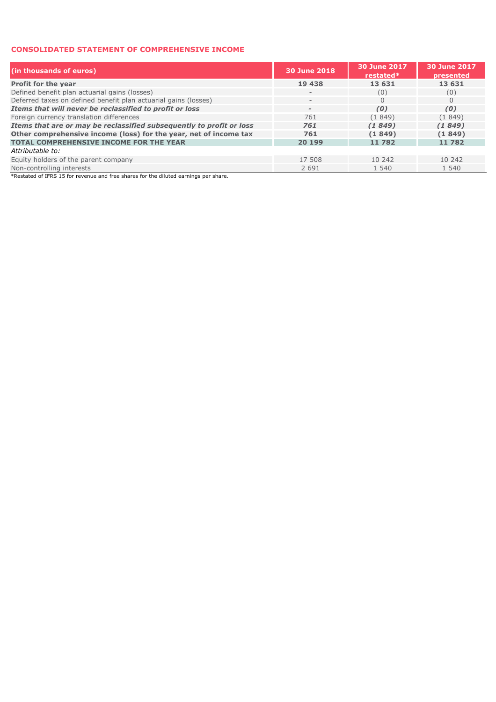#### **CONSOLIDATED STATEMENT OF COMPREHENSIVE INCOME**

| (in thousands of euros)                                              | 30 June 2018             | 30 June 2017<br>restated $*$ | 30 June 2017<br>presented |
|----------------------------------------------------------------------|--------------------------|------------------------------|---------------------------|
| Profit for the year                                                  | 19 438                   | 13 631                       | 13 631                    |
| Defined benefit plan actuarial gains (losses)                        | $\overline{\phantom{a}}$ | (0)                          | (0)                       |
| Deferred taxes on defined benefit plan actuarial gains (losses)      | $\qquad \qquad -$        | 0                            | $\Omega$                  |
| Items that will never be reclassified to profit or loss              | $\overline{\phantom{a}}$ | (0)                          | (0)                       |
| Foreign currency translation differences                             | 761                      | (1849)                       | (1849)                    |
| Items that are or may be reclassified subsequently to profit or loss | 761                      | (1849)                       | (1849)                    |
| Other comprehensive income (loss) for the year, net of income tax    | 761                      | (1849)                       | (1849)                    |
| <b>TOTAL COMPREHENSIVE INCOME FOR THE YEAR</b>                       | 20 199                   | 11782                        | 11782                     |
| Attributable to:                                                     |                          |                              |                           |
| Equity holders of the parent company                                 | 17 508                   | 10 242                       | 10 242                    |
| Non-controlling interests                                            | 2 6 9 1                  | 1 540                        | 1 540                     |

\*Restated of IFRS 15 for revenue and free shares for the diluted earnings per share.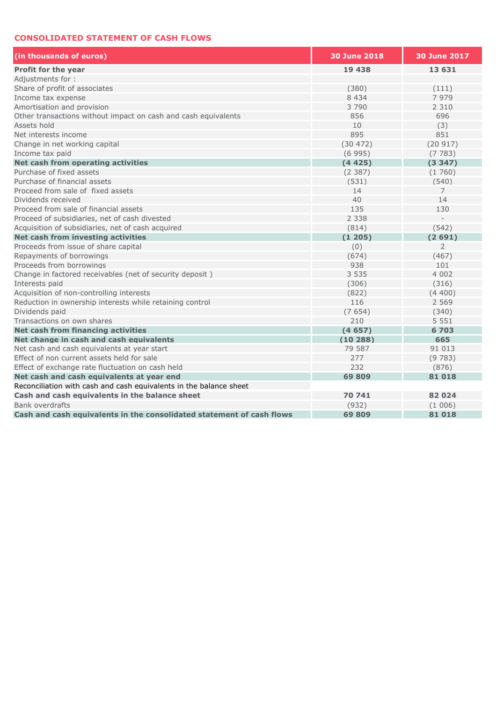#### **CONSOLIDATED STATEMENT OF CASH FLOWS**

| (in thousands of euros)                                               | <b>30 June 2018</b> | 30 June 2017   |
|-----------------------------------------------------------------------|---------------------|----------------|
| Profit for the year                                                   | 19 438              | 13 631         |
| Adjustments for:                                                      |                     |                |
| Share of profit of associates                                         | (380)               | (111)          |
| Income tax expense                                                    | 8 4 3 4             | 7 9 7 9        |
| Amortisation and provision                                            | 3790                | 2 3 1 0        |
| Other transactions without impact on cash and cash equivalents        | 856                 | 696            |
| Assets hold                                                           | 10                  | (3)            |
| Net interests income                                                  | 895                 | 851            |
| Change in net working capital                                         | (30 472)            | (20917)        |
| Income tax paid                                                       | (6995)              | (7783)         |
| Net cash from operating activities                                    | (4425)              | (3347)         |
| Purchase of fixed assets                                              | (2387)              | (1760)         |
| Purchase of financial assets                                          | (531)               | (540)          |
| Proceed from sale of fixed assets                                     | 14                  | $\overline{7}$ |
| Dividends received                                                    | 40                  | 14             |
| Proceed from sale of financial assets                                 | 135                 | 130            |
| Proceed of subsidiaries, net of cash divested                         | 2 3 3 8             |                |
| Acquisition of subsidiaries, net of cash acquired                     | (814)               | (542)          |
| Net cash from investing activities                                    | (1205)              | (2691)         |
| Proceeds from issue of share capital                                  | (0)                 | $\overline{2}$ |
| Repayments of borrowings                                              | (674)               | (467)          |
| Proceeds from borrowings                                              | 938                 | 101            |
| Change in factored receivables (net of security deposit)              | 3 5 3 5             | 4 0 0 2        |
| Interests paid                                                        | (306)               | (316)          |
| Acquisition of non-controlling interests                              | (822)               | (4400)         |
| Reduction in ownership interests while retaining control              | 116                 | 2 5 6 9        |
| Dividends paid                                                        | (7654)              | (340)          |
| Transactions on own shares                                            | 210                 | 5 5 5 1        |
| Net cash from financing activities                                    | (4657)              | 6703           |
| Net change in cash and cash equivalents                               | (10288)             | 665            |
| Net cash and cash equivalents at year start                           | 79 587              | 91 013         |
| Effect of non current assets held for sale                            | 277                 | (9783)         |
| Effect of exchange rate fluctuation on cash held                      | 232                 | (876)          |
| Net cash and cash equivalents at year end                             | 69 809              | 81018          |
| Reconciliation with cash and cash equivalents in the balance sheet    |                     |                |
| Cash and cash equivalents in the balance sheet                        | 70 741              | 82024          |
| <b>Bank overdrafts</b>                                                | (932)               | (1006)         |
| Cash and cash equivalents in the consolidated statement of cash flows | 69809               | 81018          |